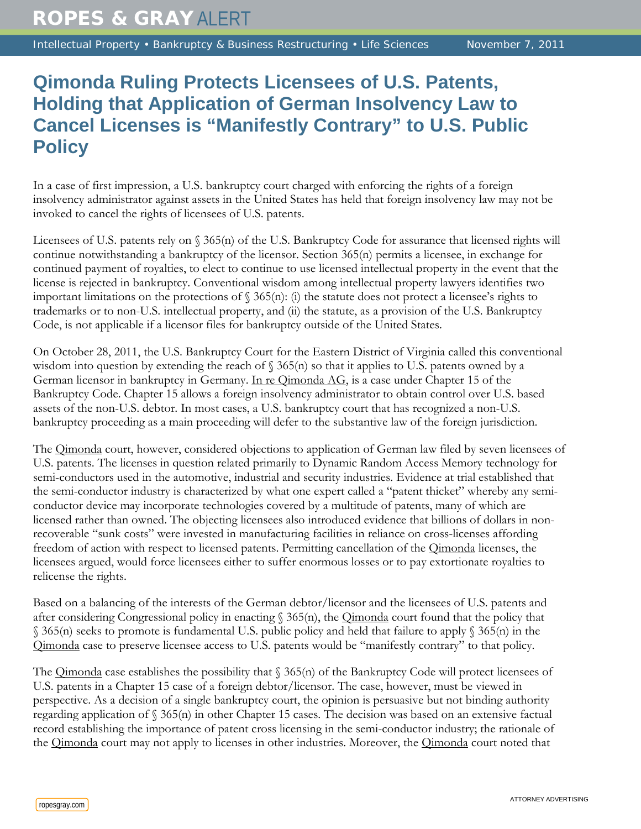Intellectual Property • Bankruptcy & Business Restructuring • Life Sciences November 7, 2011

## **Qimonda Ruling Protects Licensees of U.S. Patents, Holding that Application of German Insolvency Law to Cancel Licenses is "Manifestly Contrary" to U.S. Public Policy**

In a case of first impression, a U.S. bankruptcy court charged with enforcing the rights of a foreign insolvency administrator against assets in the United States has held that foreign insolvency law may not be invoked to cancel the rights of licensees of U.S. patents.

Licensees of U.S. patents rely on § 365(n) of the U.S. Bankruptcy Code for assurance that licensed rights will continue notwithstanding a bankruptcy of the licensor. Section 365(n) permits a licensee, in exchange for continued payment of royalties, to elect to continue to use licensed intellectual property in the event that the license is rejected in bankruptcy. Conventional wisdom among intellectual property lawyers identifies two important limitations on the protections of  $\S$  365(n): (i) the statute does not protect a licensee's rights to trademarks or to non-U.S. intellectual property, and (ii) the statute, as a provision of the U.S. Bankruptcy Code, is not applicable if a licensor files for bankruptcy outside of the United States.

On October 28, 2011, the U.S. Bankruptcy Court for the Eastern District of Virginia called this conventional wisdom into question by extending the reach of  $\S 365(n)$  so that it applies to U.S. patents owned by a German licensor in bankruptcy in Germany. In re Qimonda AG, is a case under Chapter 15 of the Bankruptcy Code. Chapter 15 allows a foreign insolvency administrator to obtain control over U.S. based assets of the non-U.S. debtor. In most cases, a U.S. bankruptcy court that has recognized a non-U.S. bankruptcy proceeding as a main proceeding will defer to the substantive law of the foreign jurisdiction.

The *Qimonda* court, however, considered objections to application of German law filed by seven licensees of U.S. patents. The licenses in question related primarily to Dynamic Random Access Memory technology for semi-conductors used in the automotive, industrial and security industries. Evidence at trial established that the semi-conductor industry is characterized by what one expert called a "patent thicket" whereby any semiconductor device may incorporate technologies covered by a multitude of patents, many of which are licensed rather than owned. The objecting licensees also introduced evidence that billions of dollars in nonrecoverable "sunk costs" were invested in manufacturing facilities in reliance on cross-licenses affording freedom of action with respect to licensed patents. Permitting cancellation of the Qimonda licenses, the licensees argued, would force licensees either to suffer enormous losses or to pay extortionate royalties to relicense the rights.

Based on a balancing of the interests of the German debtor/licensor and the licensees of U.S. patents and after considering Congressional policy in enacting  $\S$  365(n), the *Qimonda* court found that the policy that § 365(n) seeks to promote is fundamental U.S. public policy and held that failure to apply § 365(n) in the Qimonda case to preserve licensee access to U.S. patents would be "manifestly contrary" to that policy.

The  $Q$ imonda case establishes the possibility that  $\S$  365(n) of the Bankruptcy Code will protect licensees of U.S. patents in a Chapter 15 case of a foreign debtor/licensor. The case, however, must be viewed in perspective. As a decision of a single bankruptcy court, the opinion is persuasive but not binding authority regarding application of § 365(n) in other Chapter 15 cases. The decision was based on an extensive factual record establishing the importance of patent cross licensing in the semi-conductor industry; the rationale of the *Qimonda* court may not apply to licenses in other industries. Moreover, the *Qimonda* court noted that